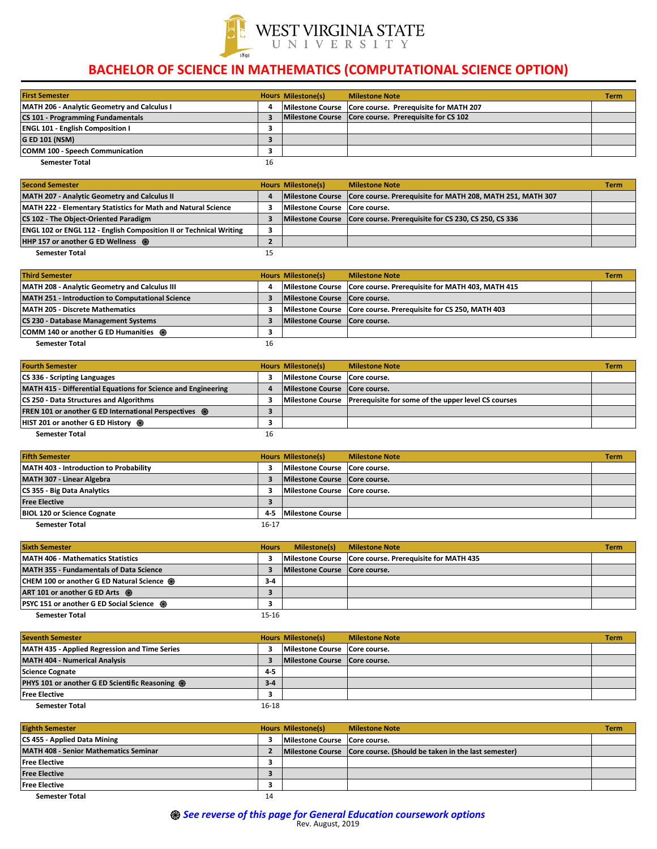| <b>First Semester</b>                              |    | <b>Hours Milestone(s)</b> | <b>Milestone Note</b>                                     | <b>Term</b> |
|----------------------------------------------------|----|---------------------------|-----------------------------------------------------------|-------------|
| <b>MATH 206 - Analytic Geometry and Calculus I</b> |    |                           | Milestone Course   Core course. Prerequisite for MATH 207 |             |
| <b>CS 101 - Programming Fundamentals</b>           |    |                           | Milestone Course   Core course. Prerequisite for CS 102   |             |
| <b>ENGL 101 - English Composition I</b>            |    |                           |                                                           |             |
| <b>G ED 101 (NSM)</b>                              |    |                           |                                                           |             |
| <b>COMM 100 - Speech Communication</b>             |    |                           |                                                           |             |
| <b>Semester Total</b>                              | 16 |                           |                                                           |             |

| <b>Second Semester</b>                                                    |    | <b>Hours Milestone(s)</b>       | <b>Milestone Note</b>                                                       | <b>Term</b> |
|---------------------------------------------------------------------------|----|---------------------------------|-----------------------------------------------------------------------------|-------------|
| MATH 207 - Analytic Geometry and Calculus II                              |    |                                 | Milestone Course Core course. Prerequisite for MATH 208, MATH 251, MATH 307 |             |
| MATH 222 - Elementary Statistics for Math and Natural Science             |    | Milestone Course   Core course. |                                                                             |             |
| <b>CS 102 - The Object-Oriented Paradigm</b>                              |    |                                 | Milestone Course   Core course. Prerequisite for CS 230, CS 250, CS 336     |             |
| <b>ENGL 102 or ENGL 112 - English Composition II or Technical Writing</b> |    |                                 |                                                                             |             |
| <b>HHP 157 or another G ED Wellness @</b>                                 |    |                                 |                                                                             |             |
| <b>Semester Total</b>                                                     | 15 |                                 |                                                                             |             |

| <b>Third Semester</b>                            |    | <b>Hours Milestone(s)</b>       | <b>Milestone Note</b>                                             | <b>Term</b> |
|--------------------------------------------------|----|---------------------------------|-------------------------------------------------------------------|-------------|
| MATH 208 - Analytic Geometry and Calculus III    |    |                                 | Milestone Course Core course. Prerequisite for MATH 403, MATH 415 |             |
| MATH 251 - Introduction to Computational Science |    | Milestone Course   Core course. |                                                                   |             |
| <b>MATH 205 - Discrete Mathematics</b>           |    |                                 | Milestone Course   Core course. Prerequisite for CS 250, MATH 403 |             |
| <b>CS 230 - Database Management Systems</b>      |    | Milestone Course   Core course. |                                                                   |             |
| <b>COMM 140 or another G ED Humanities @</b>     |    |                                 |                                                                   |             |
| <b>Semester Total</b>                            | 16 |                                 |                                                                   |             |

| <b>Fourth Semester</b>                                        |    | <b>Hours Milestone(s)</b>       | <b>Milestone Note</b>                                                  | <b>Term</b> |
|---------------------------------------------------------------|----|---------------------------------|------------------------------------------------------------------------|-------------|
| <b>CS 336 - Scripting Languages</b>                           |    | Milestone Course   Core course. |                                                                        |             |
| MATH 415 - Differential Equations for Science and Engineering |    | Milestone Course   Core course. |                                                                        |             |
| <b>CS 250 - Data Structures and Algorithms</b>                |    |                                 | Milestone Course   Prerequisite for some of the upper level CS courses |             |
| <b>FREN 101 or another G ED International Perspectives @</b>  |    |                                 |                                                                        |             |
| <b>HIST 201 or another G ED History <math>\otimes</math></b>  |    |                                 |                                                                        |             |
| <b>Semester Total</b>                                         | 16 |                                 |                                                                        |             |

| <b>Fifth Semester</b>                  |         | <b>Hours Milestone(s)</b>       | <b>Milestone Note</b> | <b>Term</b> |
|----------------------------------------|---------|---------------------------------|-----------------------|-------------|
| MATH 403 - Introduction to Probability |         | Milestone Course   Core course. |                       |             |
| MATH 307 - Linear Algebra              |         | Milestone Course   Core course. |                       |             |
| <b>CS 355 - Big Data Analytics</b>     |         | Milestone Course   Core course. |                       |             |
| <b>Free Elective</b>                   |         |                                 |                       |             |
| <b>BIOL 120 or Science Cognate</b>     | $4 - 5$ | <b>Milestone Course</b>         |                       |             |
| <b>Semester Total</b>                  | 16-17   |                                 |                       |             |

| <b>Sixth Semester</b>                                 | <b>Hours</b> | <b>Milestone(s)</b>             | <b>Milestone Note</b>                                     | <b>Term</b> |
|-------------------------------------------------------|--------------|---------------------------------|-----------------------------------------------------------|-------------|
| <b>MATH 406 - Mathematics Statistics</b>              |              |                                 | Milestone Course   Core course. Prerequisite for MATH 435 |             |
| <b>MATH 355 - Fundamentals of Data Science</b>        |              | Milestone Course   Core course. |                                                           |             |
| <b>CHEM 100 or another G ED Natural Science &amp;</b> | $3 - 4$      |                                 |                                                           |             |
| ART 101 or another G ED Arts @                        |              |                                 |                                                           |             |
| <b>PSYC 151 or another G ED Social Science @</b>      |              |                                 |                                                           |             |
| <b>Semester Total</b>                                 | $15 - 16$    |                                 |                                                           |             |

| <b>Seventh Semester</b>                                |           | <b>Hours Milestone(s)</b>       | <b>Milestone Note</b> | <b>Term</b> |
|--------------------------------------------------------|-----------|---------------------------------|-----------------------|-------------|
| <b>MATH 435 - Applied Regression and Time Series</b>   |           | Milestone Course   Core course. |                       |             |
| <b>MATH 404 - Numerical Analysis</b>                   |           | Milestone Course   Core course. |                       |             |
| <b>Science Cognate</b>                                 | $4 - 5$   |                                 |                       |             |
| <b>PHYS 101 or another G ED Scientific Reasoning @</b> | $3 - 4$   |                                 |                       |             |
| <b>Free Elective</b>                                   |           |                                 |                       |             |
| <b>Semester Total</b>                                  | $16 - 18$ |                                 |                       |             |

| <b>Eighth Semester</b>                       |    | <b>Hours Milestone(s)</b>       | <b>Milestone Note</b>                                                  | <b>Term</b> |
|----------------------------------------------|----|---------------------------------|------------------------------------------------------------------------|-------------|
| <b>CS 455 - Applied Data Mining</b>          |    | Milestone Course   Core course. |                                                                        |             |
| <b>MATH 408 - Senior Mathematics Seminar</b> |    |                                 | Milestone Course   Core course. (Should be taken in the last semester) |             |
| <b>Free Elective</b>                         |    |                                 |                                                                        |             |
| <b>Free Elective</b>                         |    |                                 |                                                                        |             |
| <b>Free Elective</b>                         |    |                                 |                                                                        |             |
| <b>Semester Total</b>                        | 14 |                                 |                                                                        |             |



## **BACHELOR OF SCIENCE IN MATHEMATICS (COMPUTATIONAL SCIENCE OPTION)**